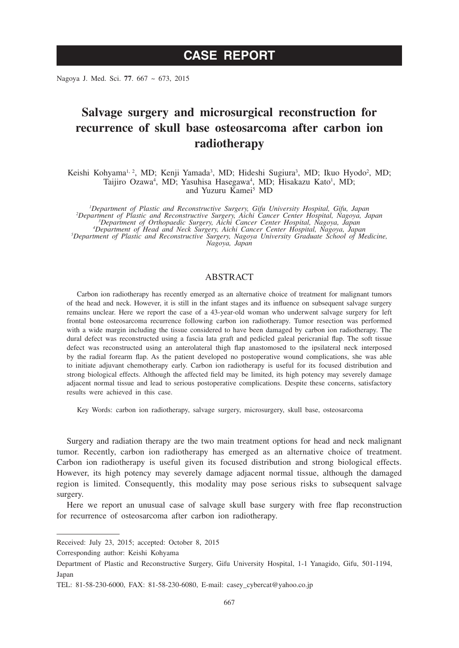Nagoya J. Med. Sci. **77**. 667 ~ 673, 2015

# **Salvage surgery and microsurgical reconstruction for recurrence of skull base osteosarcoma after carbon ion radiotherapy**

Keishi Kohyama<sup>l, 2</sup>, MD; Kenji Yamada<sup>3</sup>, MD; Hideshi Sugiura<sup>3</sup>, MD; Ikuo Hyodo<sup>2</sup>, MD; Taijiro Ozawa<sup>4</sup>, MD; Yasuhisa Hasegawa<sup>4</sup>, MD; Hisakazu Kato<sup>1</sup>, MD; and Yuzuru Kamei<sup>5</sup> MD

*1 Department of Plastic and Reconstructive Surgery, Gifu University Hospital, Gifu, Japan <sup>2</sup> Department of Plastic and Reconstructive Surgery, Aichi Cancer Center Hospital, Nagoya, Japan <sup>3</sup> Department of Orthopaedic Surgery, Aichi Cancer Center Hospital, Nagoya, Japan <sup>4</sup> Department of Head and Neck Surgery, Aichi Cancer Center Hospital, Nagoya, Japan <sup>5</sup> Department of Plastic and Reconstructive Surgery, Nagoya University Graduate School of Medicine,* 

*Nagoya, Japan*

## ABSTRACT

Carbon ion radiotherapy has recently emerged as an alternative choice of treatment for malignant tumors of the head and neck. However, it is still in the infant stages and its influence on subsequent salvage surgery remains unclear. Here we report the case of a 43-year-old woman who underwent salvage surgery for left frontal bone osteosarcoma recurrence following carbon ion radiotherapy. Tumor resection was performed with a wide margin including the tissue considered to have been damaged by carbon ion radiotherapy. The dural defect was reconstructed using a fascia lata graft and pedicled galeal pericranial flap. The soft tissue defect was reconstructed using an anterolateral thigh flap anastomosed to the ipsilateral neck interposed by the radial forearm flap. As the patient developed no postoperative wound complications, she was able to initiate adjuvant chemotherapy early. Carbon ion radiotherapy is useful for its focused distribution and strong biological effects. Although the affected field may be limited, its high potency may severely damage adjacent normal tissue and lead to serious postoperative complications. Despite these concerns, satisfactory results were achieved in this case.

Key Words: carbon ion radiotherapy, salvage surgery, microsurgery, skull base, osteosarcoma

Surgery and radiation therapy are the two main treatment options for head and neck malignant tumor. Recently, carbon ion radiotherapy has emerged as an alternative choice of treatment. Carbon ion radiotherapy is useful given its focused distribution and strong biological effects. However, its high potency may severely damage adjacent normal tissue, although the damaged region is limited. Consequently, this modality may pose serious risks to subsequent salvage surgery.

Here we report an unusual case of salvage skull base surgery with free flap reconstruction for recurrence of osteosarcoma after carbon ion radiotherapy.

Corresponding author: Keishi Kohyama

Received: July 23, 2015; accepted: October 8, 2015

Department of Plastic and Reconstructive Surgery, Gifu University Hospital, 1-1 Yanagido, Gifu, 501-1194, Japan

TEL: 81-58-230-6000, FAX: 81-58-230-6080, E-mail: casey\_cybercat@yahoo.co.jp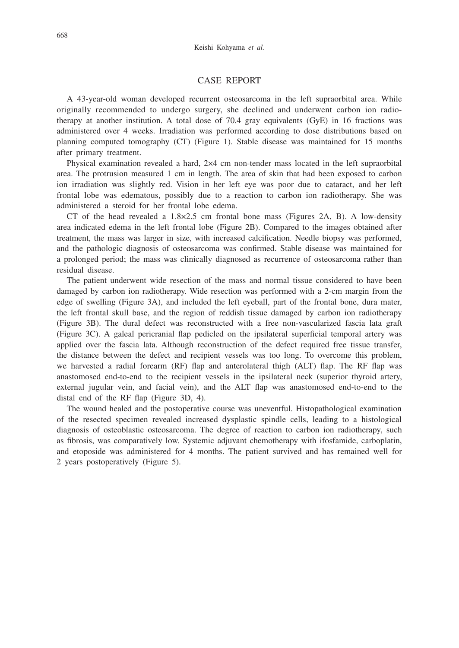#### CASE REPORT

A 43-year-old woman developed recurrent osteosarcoma in the left supraorbital area. While originally recommended to undergo surgery, she declined and underwent carbon ion radiotherapy at another institution. A total dose of 70.4 gray equivalents (GyE) in 16 fractions was administered over 4 weeks. Irradiation was performed according to dose distributions based on planning computed tomography (CT) (Figure 1). Stable disease was maintained for 15 months after primary treatment.

Physical examination revealed a hard, 2×4 cm non-tender mass located in the left supraorbital area. The protrusion measured 1 cm in length. The area of skin that had been exposed to carbon ion irradiation was slightly red. Vision in her left eye was poor due to cataract, and her left frontal lobe was edematous, possibly due to a reaction to carbon ion radiotherapy. She was administered a steroid for her frontal lobe edema.

CT of the head revealed a  $1.8 \times 2.5$  cm frontal bone mass (Figures 2A, B). A low-density area indicated edema in the left frontal lobe (Figure 2B). Compared to the images obtained after treatment, the mass was larger in size, with increased calcification. Needle biopsy was performed, and the pathologic diagnosis of osteosarcoma was confirmed. Stable disease was maintained for a prolonged period; the mass was clinically diagnosed as recurrence of osteosarcoma rather than residual disease.

The patient underwent wide resection of the mass and normal tissue considered to have been damaged by carbon ion radiotherapy. Wide resection was performed with a 2-cm margin from the edge of swelling (Figure 3A), and included the left eyeball, part of the frontal bone, dura mater, the left frontal skull base, and the region of reddish tissue damaged by carbon ion radiotherapy (Figure 3B). The dural defect was reconstructed with a free non-vascularized fascia lata graft (Figure 3C). A galeal pericranial flap pedicled on the ipsilateral superficial temporal artery was applied over the fascia lata. Although reconstruction of the defect required free tissue transfer, the distance between the defect and recipient vessels was too long. To overcome this problem, we harvested a radial forearm (RF) flap and anterolateral thigh (ALT) flap. The RF flap was anastomosed end-to-end to the recipient vessels in the ipsilateral neck (superior thyroid artery, external jugular vein, and facial vein), and the ALT flap was anastomosed end-to-end to the distal end of the RF flap (Figure 3D, 4).

The wound healed and the postoperative course was uneventful. Histopathological examination of the resected specimen revealed increased dysplastic spindle cells, leading to a histological diagnosis of osteoblastic osteosarcoma. The degree of reaction to carbon ion radiotherapy, such as fibrosis, was comparatively low. Systemic adjuvant chemotherapy with ifosfamide, carboplatin, and etoposide was administered for 4 months. The patient survived and has remained well for 2 years postoperatively (Figure 5).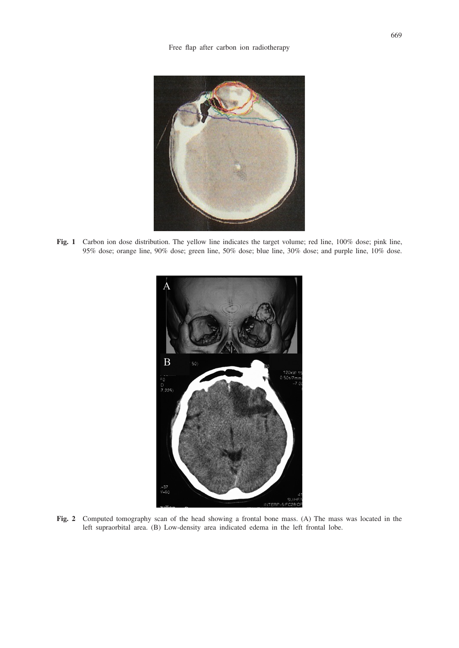

**Fig. 1** Carbon ion dose distribution. The yellow line indicates the target volume; red line, 100% dose; pink line, 95% dose; orange line, 90% dose; green line, 50% dose; blue line, 30% dose; and purple line, 10% dose.



**Fig. 2** Computed tomography scan of the head showing a frontal bone mass. (A) The mass was located in the left supraorbital area. (B) Low-density area indicated edema in the left frontal lobe.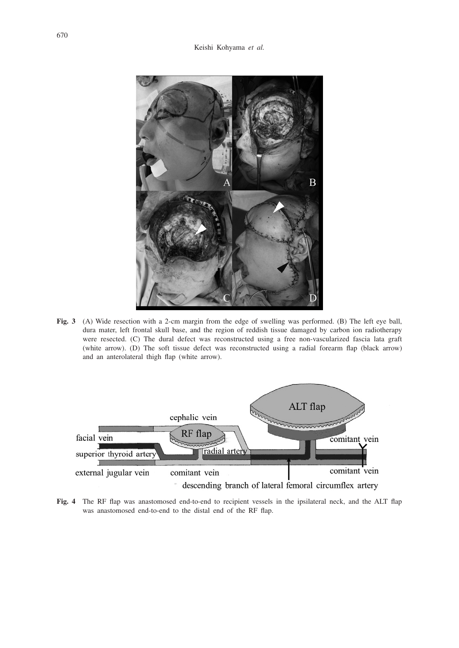

**Fig. 3** (A) Wide resection with a 2-cm margin from the edge of swelling was performed. (B) The left eye ball, dura mater, left frontal skull base, and the region of reddish tissue damaged by carbon ion radiotherapy were resected. (C) The dural defect was reconstructed using a free non-vascularized fascia lata graft (white arrow). (D) The soft tissue defect was reconstructed using a radial forearm flap (black arrow) and an anterolateral thigh flap (white arrow).



**Fig. 4** The RF flap was anastomosed end-to-end to recipient vessels in the ipsilateral neck, and the ALT flap was anastomosed end-to-end to the distal end of the RF flap.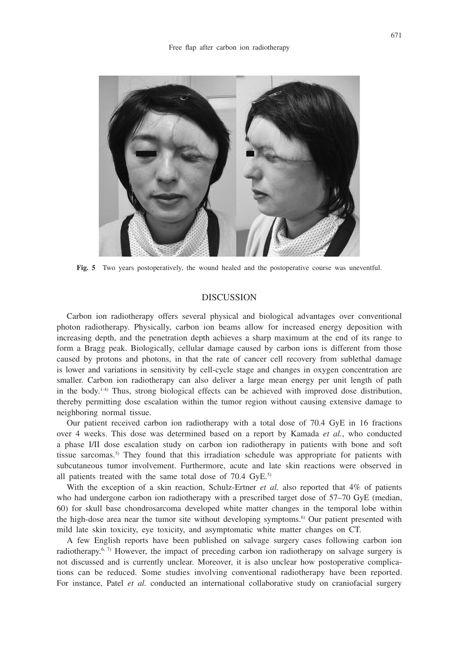

**Fig. 5** Two years postoperatively, the wound healed and the postoperative course was uneventful.

#### DISCUSSION

Carbon ion radiotherapy offers several physical and biological advantages over conventional photon radiotherapy. Physically, carbon ion beams allow for increased energy deposition with increasing depth, and the penetration depth achieves a sharp maximum at the end of its range to form a Bragg peak. Biologically, cellular damage caused by carbon ions is different from those caused by protons and photons, in that the rate of cancer cell recovery from sublethal damage is lower and variations in sensitivity by cell-cycle stage and changes in oxygen concentration are smaller. Carbon ion radiotherapy can also deliver a large mean energy per unit length of path in the body.<sup>1-4)</sup> Thus, strong biological effects can be achieved with improved dose distribution, thereby permitting dose escalation within the tumor region without causing extensive damage to neighboring normal tissue.

Our patient received carbon ion radiotherapy with a total dose of 70.4 GyE in 16 fractions over 4 weeks. This dose was determined based on a report by Kamada *et al.*, who conducted a phase I/II dose escalation study on carbon ion radiotherapy in patients with bone and soft tissue sarcomas.<sup>5)</sup> They found that this irradiation schedule was appropriate for patients with subcutaneous tumor involvement. Furthermore, acute and late skin reactions were observed in all patients treated with the same total dose of  $70.4 \text{ GyE.}^{5}$ 

With the exception of a skin reaction, Schulz-Ertner *et al.* also reported that 4% of patients who had undergone carbon ion radiotherapy with a prescribed target dose of 57–70 GyE (median, 60) for skull base chondrosarcoma developed white matter changes in the temporal lobe within the high-dose area near the tumor site without developing symptoms.<sup>6</sup> Our patient presented with mild late skin toxicity, eye toxicity, and asymptomatic white matter changes on CT.

A few English reports have been published on salvage surgery cases following carbon ion radiotherapy.<sup>6, 7)</sup> However, the impact of preceding carbon ion radiotherapy on salvage surgery is not discussed and is currently unclear. Moreover, it is also unclear how postoperative complications can be reduced. Some studies involving conventional radiotherapy have been reported. For instance, Patel et al. conducted an international collaborative study on craniofacial surgery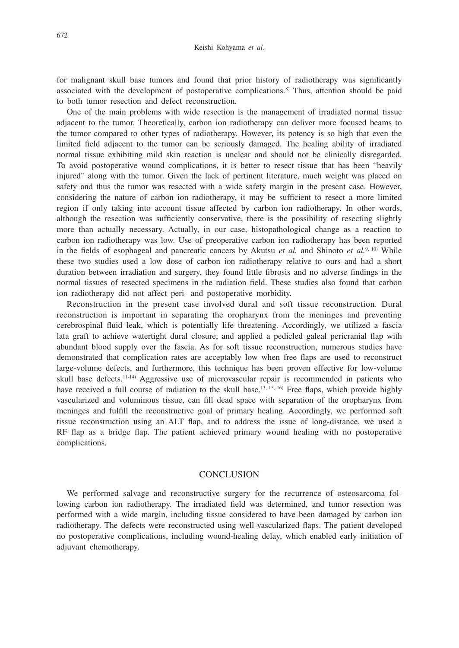for malignant skull base tumors and found that prior history of radiotherapy was significantly associated with the development of postoperative complications.<sup>8)</sup> Thus, attention should be paid to both tumor resection and defect reconstruction.

One of the main problems with wide resection is the management of irradiated normal tissue adjacent to the tumor. Theoretically, carbon ion radiotherapy can deliver more focused beams to the tumor compared to other types of radiotherapy. However, its potency is so high that even the limited field adjacent to the tumor can be seriously damaged. The healing ability of irradiated normal tissue exhibiting mild skin reaction is unclear and should not be clinically disregarded. To avoid postoperative wound complications, it is better to resect tissue that has been "heavily injured" along with the tumor. Given the lack of pertinent literature, much weight was placed on safety and thus the tumor was resected with a wide safety margin in the present case. However, considering the nature of carbon ion radiotherapy, it may be sufficient to resect a more limited region if only taking into account tissue affected by carbon ion radiotherapy. In other words, although the resection was sufficiently conservative, there is the possibility of resecting slightly more than actually necessary. Actually, in our case, histopathological change as a reaction to carbon ion radiotherapy was low. Use of preoperative carbon ion radiotherapy has been reported in the fields of esophageal and pancreatic cancers by Akutsu *et al.* and Shinoto *et al.*9, 10) While these two studies used a low dose of carbon ion radiotherapy relative to ours and had a short duration between irradiation and surgery, they found little fibrosis and no adverse findings in the normal tissues of resected specimens in the radiation field. These studies also found that carbon ion radiotherapy did not affect peri- and postoperative morbidity.

Reconstruction in the present case involved dural and soft tissue reconstruction. Dural reconstruction is important in separating the oropharynx from the meninges and preventing cerebrospinal fluid leak, which is potentially life threatening. Accordingly, we utilized a fascia lata graft to achieve watertight dural closure, and applied a pedicled galeal pericranial flap with abundant blood supply over the fascia. As for soft tissue reconstruction, numerous studies have demonstrated that complication rates are acceptably low when free flaps are used to reconstruct large-volume defects, and furthermore, this technique has been proven effective for low-volume skull base defects.<sup>11-14)</sup> Aggressive use of microvascular repair is recommended in patients who have received a full course of radiation to the skull base.<sup>13, 15, 16</sup> Free flaps, which provide highly vascularized and voluminous tissue, can fill dead space with separation of the oropharynx from meninges and fulfill the reconstructive goal of primary healing. Accordingly, we performed soft tissue reconstruction using an ALT flap, and to address the issue of long-distance, we used a RF flap as a bridge flap. The patient achieved primary wound healing with no postoperative complications.

### **CONCLUSION**

We performed salvage and reconstructive surgery for the recurrence of osteosarcoma following carbon ion radiotherapy. The irradiated field was determined, and tumor resection was performed with a wide margin, including tissue considered to have been damaged by carbon ion radiotherapy. The defects were reconstructed using well-vascularized flaps. The patient developed no postoperative complications, including wound-healing delay, which enabled early initiation of adjuvant chemotherapy.